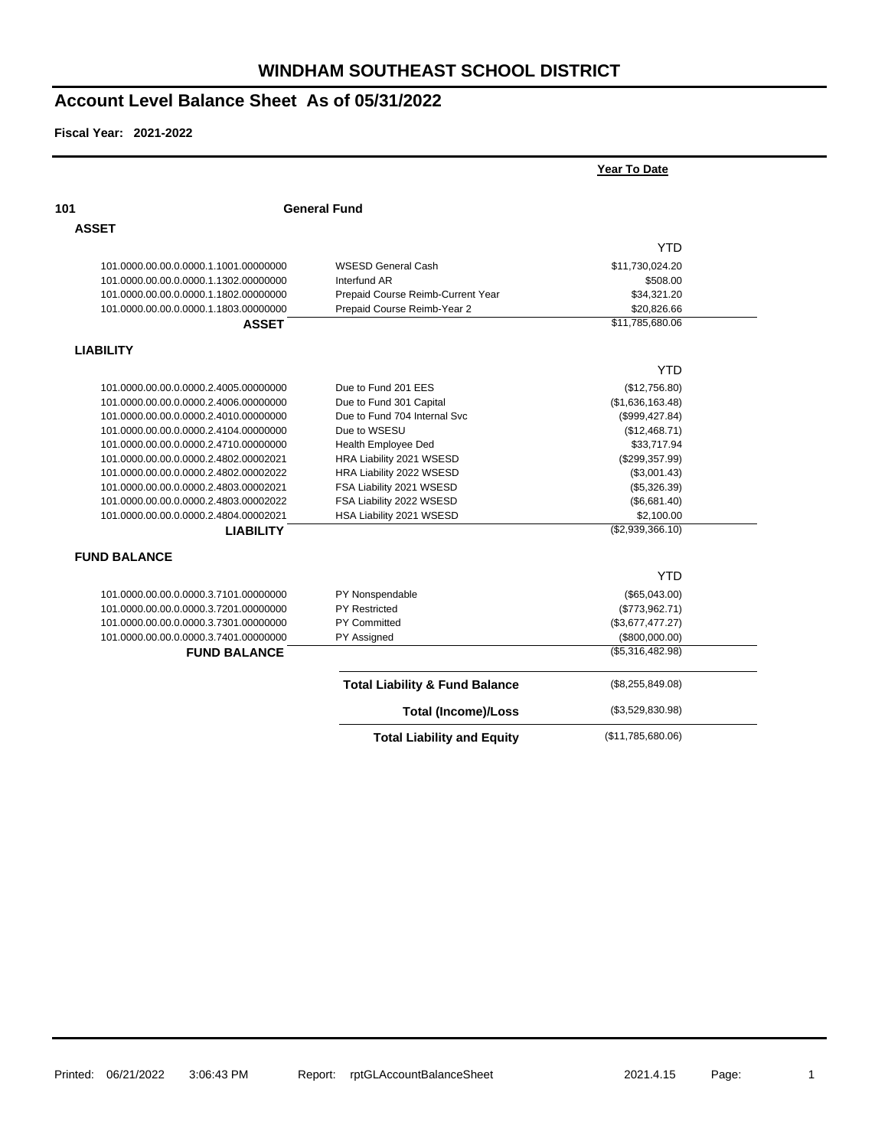|                                       |                                           | Year To Date       |
|---------------------------------------|-------------------------------------------|--------------------|
| 101                                   | <b>General Fund</b>                       |                    |
| <b>ASSET</b>                          |                                           |                    |
|                                       |                                           | YTD                |
| 101.0000.00.00.0.0000.1.1001.00000000 | <b>WSESD General Cash</b>                 | \$11,730,024.20    |
| 101.0000.00.00.0.0000.1.1302.00000000 | Interfund AR                              | \$508.00           |
| 101.0000.00.00.0.0000.1.1802.00000000 | Prepaid Course Reimb-Current Year         | \$34,321.20        |
| 101.0000.00.00.0.0000.1.1803.00000000 | Prepaid Course Reimb-Year 2               | \$20,826.66        |
| <b>ASSET</b>                          |                                           | \$11,785,680.06    |
| <b>LIABILITY</b>                      |                                           |                    |
|                                       |                                           | <b>YTD</b>         |
| 101.0000.00.00.0.0000.2.4005.00000000 | Due to Fund 201 EES                       | (\$12,756.80)      |
| 101.0000.00.00.0.0000.2.4006.00000000 | Due to Fund 301 Capital                   | (\$1,636,163.48)   |
| 101.0000.00.00.0.0000.2.4010.00000000 | Due to Fund 704 Internal Svc              | (\$999, 427.84)    |
| 101.0000.00.00.0.0000.2.4104.00000000 | Due to WSESU                              | (\$12,468.71)      |
| 101.0000.00.00.0.0000.2.4710.00000000 | Health Employee Ded                       | \$33,717.94        |
| 101.0000.00.00.0.0000.2.4802.00002021 | HRA Liability 2021 WSESD                  | (\$299,357.99)     |
| 101.0000.00.00.0.0000.2.4802.00002022 | HRA Liability 2022 WSESD                  | (\$3,001.43)       |
| 101.0000.00.00.0.0000.2.4803.00002021 | FSA Liability 2021 WSESD                  | (\$5,326.39)       |
| 101.0000.00.00.0.0000.2.4803.00002022 | FSA Liability 2022 WSESD                  | (\$6,681.40)       |
| 101.0000.00.00.0.0000.2.4804.00002021 | HSA Liability 2021 WSESD                  | \$2,100.00         |
| <b>LIABILITY</b>                      |                                           | (\$2,939,366.10)   |
| <b>FUND BALANCE</b>                   |                                           |                    |
|                                       |                                           | <b>YTD</b>         |
| 101.0000.00.00.0.0000.3.7101.00000000 | PY Nonspendable                           | (\$65,043.00)      |
| 101.0000.00.00.0.0000.3.7201.00000000 | <b>PY Restricted</b>                      | (\$773,962.71)     |
| 101.0000.00.00.0.0000.3.7301.00000000 | PY Committed                              | (\$3,677,477.27)   |
| 101.0000.00.00.0.0000.3.7401.00000000 | PY Assigned                               | (\$800,000.00)     |
| <b>FUND BALANCE</b>                   |                                           | (\$5,316,482.98)   |
|                                       | <b>Total Liability &amp; Fund Balance</b> | $(\$8,255,849.08)$ |
|                                       | <b>Total (Income)/Loss</b>                | (\$3,529,830.98)   |
|                                       | <b>Total Liability and Equity</b>         | (\$11,785,680.06)  |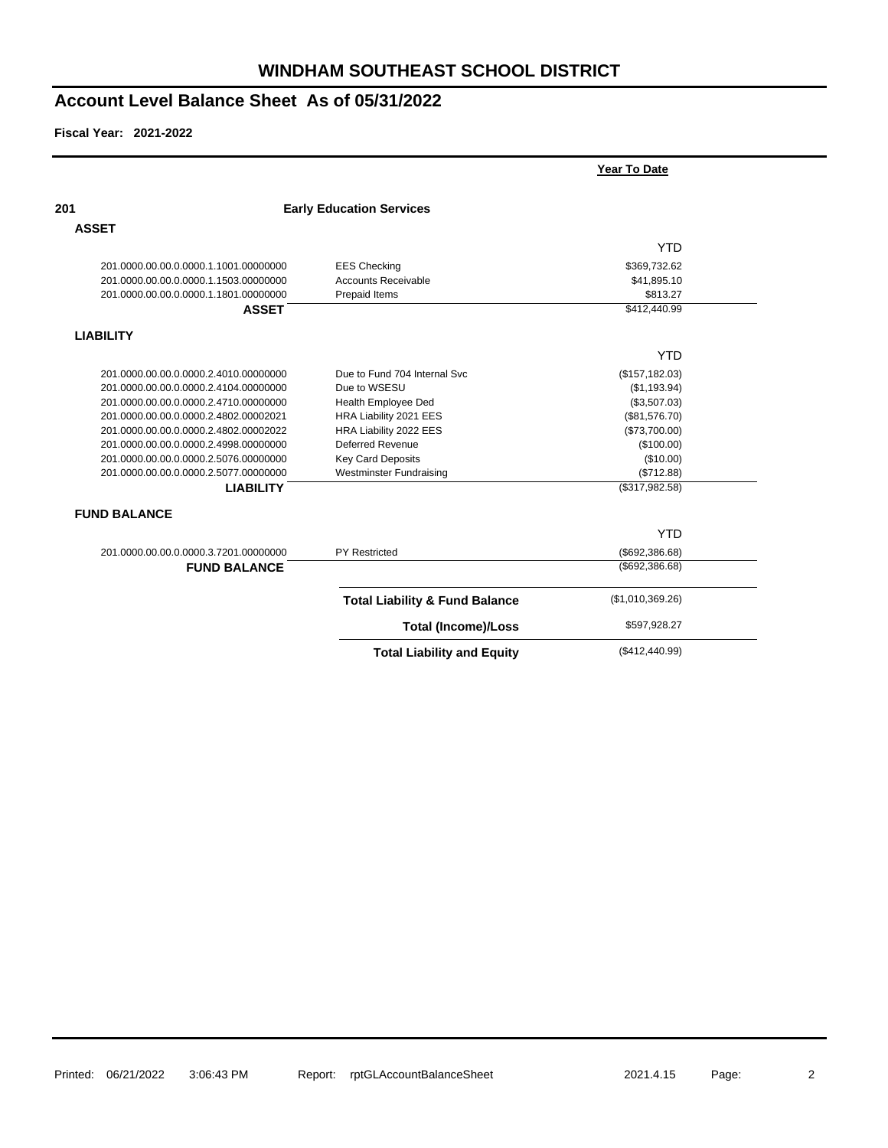|                                       |                                           | Year To Date      |  |
|---------------------------------------|-------------------------------------------|-------------------|--|
| 201                                   | <b>Early Education Services</b>           |                   |  |
| <b>ASSET</b>                          |                                           |                   |  |
|                                       |                                           | <b>YTD</b>        |  |
| 201.0000.00.00.0.0000.1.1001.00000000 | <b>EES Checking</b>                       | \$369,732.62      |  |
| 201.0000.00.00.0.0000.1.1503.00000000 | <b>Accounts Receivable</b>                | \$41,895.10       |  |
| 201.0000.00.00.0.0000.1.1801.00000000 | Prepaid Items                             | \$813.27          |  |
| <b>ASSET</b>                          |                                           | \$412,440.99      |  |
| <b>LIABILITY</b>                      |                                           |                   |  |
|                                       |                                           | <b>YTD</b>        |  |
| 201.0000.00.00.0.0000.2.4010.00000000 | Due to Fund 704 Internal Svc              | (\$157, 182.03)   |  |
| 201.0000.00.00.0.0000.2.4104.00000000 | Due to WSESU                              | (\$1,193.94)      |  |
| 201.0000.00.00.0.0000.2.4710.00000000 | Health Employee Ded                       | (\$3,507.03)      |  |
| 201.0000.00.00.0.0000.2.4802.00002021 | HRA Liability 2021 EES                    | (\$81,576.70)     |  |
| 201.0000.00.00.0.0000.2.4802.00002022 | HRA Liability 2022 EES                    | (\$73,700.00)     |  |
| 201.0000.00.00.0.0000.2.4998.00000000 | <b>Deferred Revenue</b>                   | (\$100.00)        |  |
| 201.0000.00.00.0.0000.2.5076.00000000 | <b>Key Card Deposits</b>                  | (\$10.00)         |  |
| 201.0000.00.00.0.0000.2.5077.00000000 | <b>Westminster Fundraising</b>            | (\$712.88)        |  |
| <b>LIABILITY</b>                      |                                           | $($ \$317,982.58) |  |
| <b>FUND BALANCE</b>                   |                                           |                   |  |
|                                       |                                           | <b>YTD</b>        |  |
| 201.0000.00.00.0.0000.3.7201.00000000 | <b>PY Restricted</b>                      | (\$692,386.68)    |  |
| <b>FUND BALANCE</b>                   |                                           | $($ \$692,386.68) |  |
|                                       | <b>Total Liability &amp; Fund Balance</b> | (\$1,010,369.26)  |  |
|                                       | <b>Total (Income)/Loss</b>                | \$597,928.27      |  |
|                                       | <b>Total Liability and Equity</b>         | (\$412,440.99)    |  |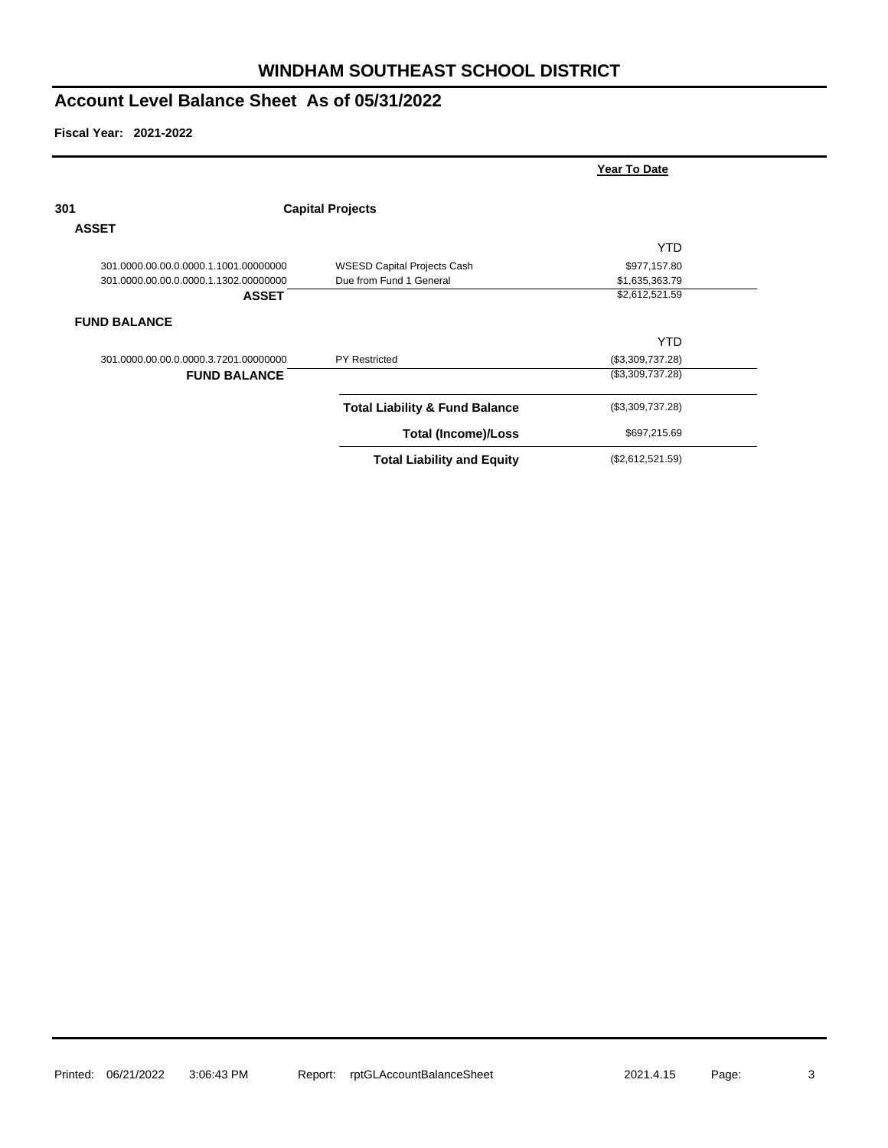**Fiscal Year: 2021-2022**

|                                       |                                           | Year To Date     |  |
|---------------------------------------|-------------------------------------------|------------------|--|
| 301                                   | <b>Capital Projects</b>                   |                  |  |
| <b>ASSET</b>                          |                                           |                  |  |
|                                       |                                           | <b>YTD</b>       |  |
| 301.0000.00.00.0.0000.1.1001.00000000 | <b>WSESD Capital Projects Cash</b>        | \$977,157.80     |  |
| 301.0000.00.00.0.0000.1.1302.00000000 | Due from Fund 1 General                   | \$1,635,363.79   |  |
| <b>ASSET</b>                          |                                           | \$2,612,521.59   |  |
| <b>FUND BALANCE</b>                   |                                           |                  |  |
|                                       |                                           | YTD.             |  |
| 301.0000.00.00.0.0000.3.7201.00000000 | <b>PY Restricted</b>                      | (\$3,309,737.28) |  |
| <b>FUND BALANCE</b>                   |                                           | (\$3,309,737.28) |  |
|                                       | <b>Total Liability &amp; Fund Balance</b> | (\$3,309,737.28) |  |
|                                       | <b>Total (Income)/Loss</b>                | \$697,215.69     |  |
|                                       |                                           |                  |  |

**Total Liability and Equity** (\$2,612,521.59)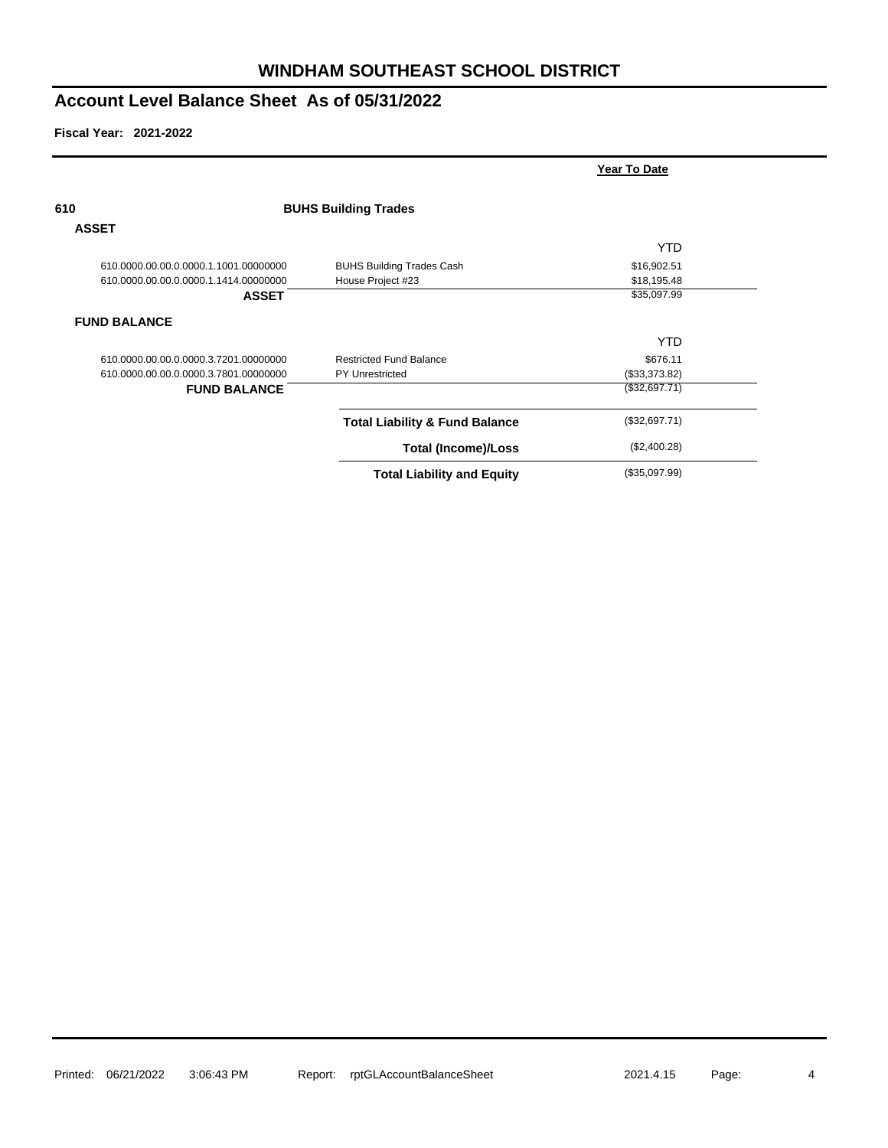|                                       |                                           | Year To Date  |  |
|---------------------------------------|-------------------------------------------|---------------|--|
| 610                                   | <b>BUHS Building Trades</b>               |               |  |
| <b>ASSET</b>                          |                                           |               |  |
|                                       |                                           | <b>YTD</b>    |  |
| 610.0000.00.00.0.0000.1.1001.00000000 | <b>BUHS Building Trades Cash</b>          | \$16,902.51   |  |
| 610.0000.00.00.0.0000.1.1414.00000000 | House Project #23                         | \$18,195.48   |  |
| <b>ASSET</b>                          |                                           | \$35,097.99   |  |
| <b>FUND BALANCE</b>                   |                                           |               |  |
|                                       |                                           | <b>YTD</b>    |  |
| 610.0000.00.00.0.0000.3.7201.00000000 | <b>Restricted Fund Balance</b>            | \$676.11      |  |
| 610.0000.00.00.0.0000.3.7801.00000000 | <b>PY Unrestricted</b>                    | (\$33,373.82) |  |
| <b>FUND BALANCE</b>                   |                                           | (\$32,697.71) |  |
|                                       | <b>Total Liability &amp; Fund Balance</b> | (\$32,697.71) |  |
|                                       | <b>Total (Income)/Loss</b>                | (\$2,400.28)  |  |
|                                       | <b>Total Liability and Equity</b>         | (\$35,097.99) |  |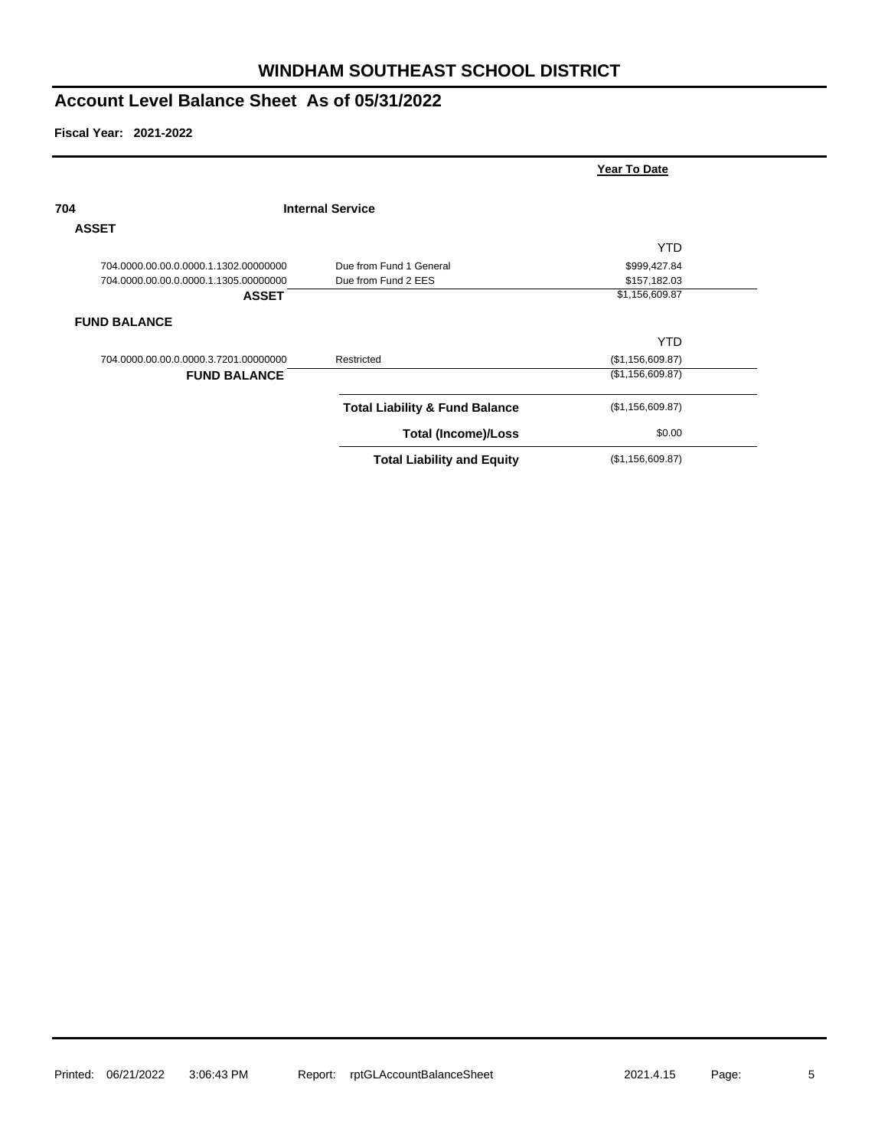|                                       |                                           | Year To Date     |  |
|---------------------------------------|-------------------------------------------|------------------|--|
| 704                                   | <b>Internal Service</b>                   |                  |  |
| <b>ASSET</b>                          |                                           |                  |  |
|                                       |                                           | YTD.             |  |
| 704.0000.00.00.0.0000.1.1302.00000000 | Due from Fund 1 General                   | \$999,427.84     |  |
| 704.0000.00.00.0.0000.1.1305.00000000 | Due from Fund 2 EES                       | \$157,182.03     |  |
| <b>ASSET</b>                          |                                           | \$1,156,609.87   |  |
| <b>FUND BALANCE</b>                   |                                           |                  |  |
|                                       |                                           | <b>YTD</b>       |  |
| 704.0000.00.00.0.0000.3.7201.00000000 | Restricted                                | (\$1,156,609.87) |  |
| <b>FUND BALANCE</b>                   |                                           | (\$1,156,609.87) |  |
|                                       | <b>Total Liability &amp; Fund Balance</b> | (\$1,156,609.87) |  |
|                                       | <b>Total (Income)/Loss</b>                | \$0.00           |  |
|                                       | <b>Total Liability and Equity</b>         | (\$1,156,609.87) |  |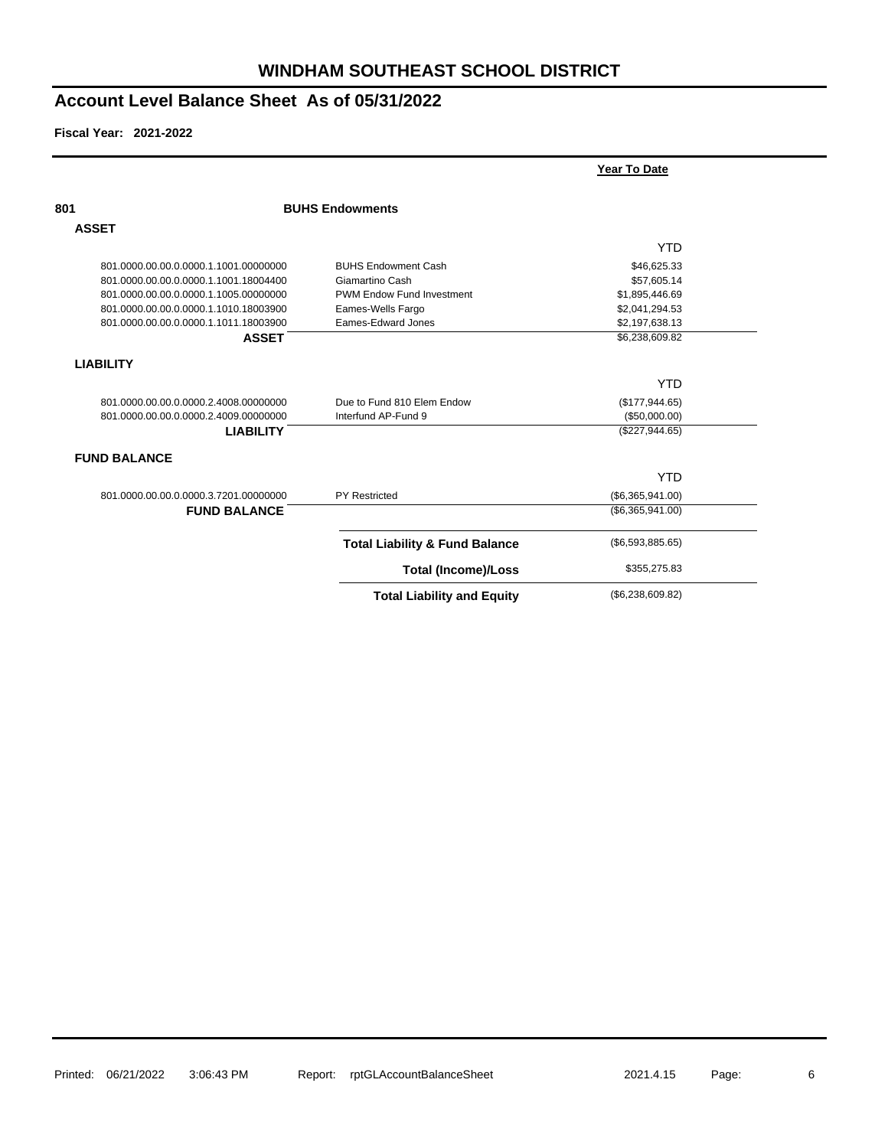|                                       |                                           | Year To Date     |  |
|---------------------------------------|-------------------------------------------|------------------|--|
| 801                                   | <b>BUHS Endowments</b>                    |                  |  |
| <b>ASSET</b>                          |                                           |                  |  |
|                                       |                                           | <b>YTD</b>       |  |
| 801.0000.00.00.0.0000.1.1001.00000000 | <b>BUHS Endowment Cash</b>                | \$46,625.33      |  |
| 801.0000.00.00.0.0000.1.1001.18004400 | Giamartino Cash                           | \$57,605.14      |  |
| 801.0000.00.00.0.0000.1.1005.00000000 | PWM Endow Fund Investment                 | \$1,895,446.69   |  |
| 801.0000.00.00.0.0000.1.1010.18003900 | Eames-Wells Fargo                         | \$2,041,294.53   |  |
| 801.0000.00.00.0.0000.1.1011.18003900 | Eames-Edward Jones                        | \$2,197,638.13   |  |
| <b>ASSET</b>                          |                                           | \$6,238,609.82   |  |
| <b>LIABILITY</b>                      |                                           |                  |  |
|                                       |                                           | <b>YTD</b>       |  |
| 801.0000.00.00.0.0000.2.4008.00000000 | Due to Fund 810 Elem Endow                | (\$177,944.65)   |  |
| 801.0000.00.00.0.0000.2.4009.00000000 | Interfund AP-Fund 9                       | (\$50,000.00)    |  |
| <b>LIABILITY</b>                      |                                           | (\$227,944.65)   |  |
| <b>FUND BALANCE</b>                   |                                           |                  |  |
|                                       |                                           | <b>YTD</b>       |  |
| 801.0000.00.00.0.0000.3.7201.00000000 | <b>PY Restricted</b>                      | (\$6,365,941.00) |  |
| <b>FUND BALANCE</b>                   |                                           | (\$6,365,941.00) |  |
|                                       | <b>Total Liability &amp; Fund Balance</b> | (\$6,593,885.65) |  |
|                                       | <b>Total (Income)/Loss</b>                | \$355,275.83     |  |
|                                       | <b>Total Liability and Equity</b>         | (\$6,238,609.82) |  |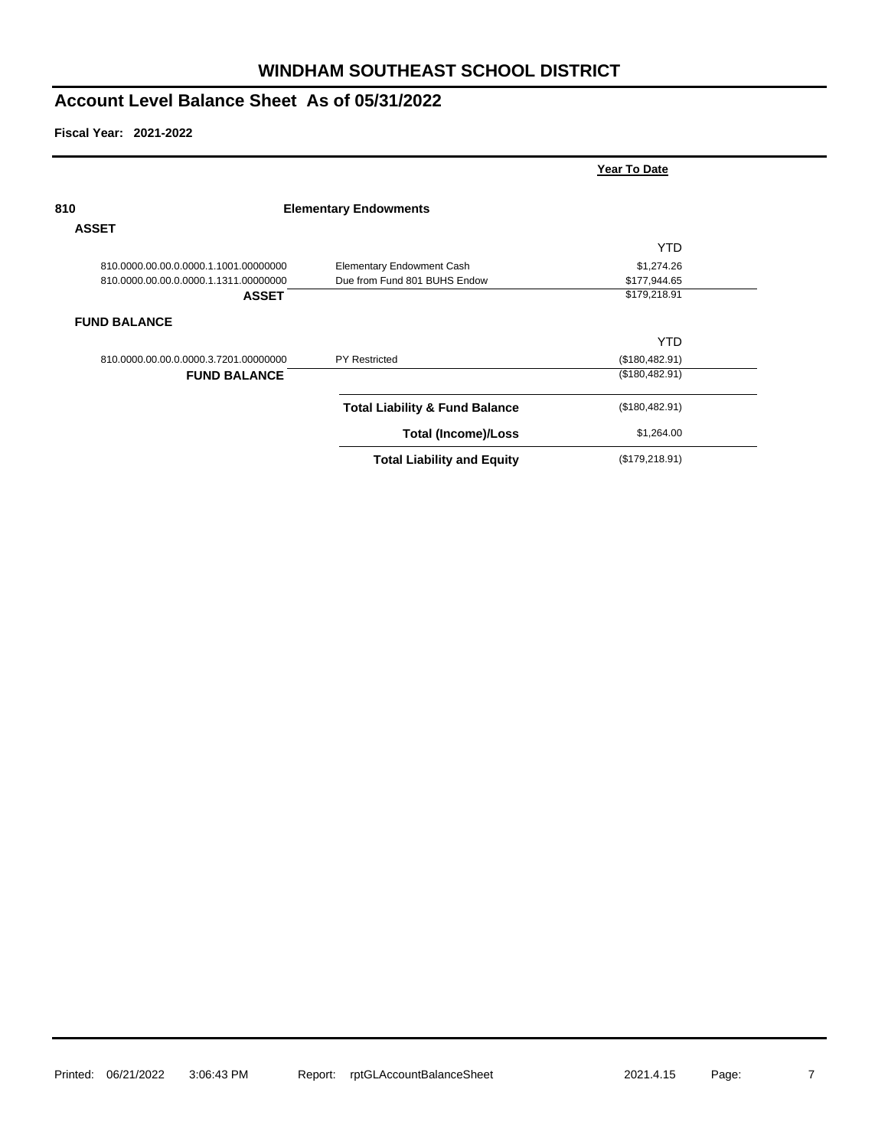|                                       |                                           | Year To Date    |
|---------------------------------------|-------------------------------------------|-----------------|
| 810                                   | <b>Elementary Endowments</b>              |                 |
| <b>ASSET</b>                          |                                           |                 |
|                                       |                                           | <b>YTD</b>      |
| 810.0000.00.00.0.0000.1.1001.00000000 | <b>Elementary Endowment Cash</b>          | \$1,274.26      |
| 810.0000.00.00.0.0000.1.1311.00000000 | Due from Fund 801 BUHS Endow              | \$177,944.65    |
| <b>ASSET</b>                          |                                           | \$179,218.91    |
| <b>FUND BALANCE</b>                   |                                           |                 |
|                                       |                                           | <b>YTD</b>      |
| 810.0000.00.00.0.0000.3.7201.00000000 | <b>PY Restricted</b>                      | (\$180,482.91)  |
| <b>FUND BALANCE</b>                   |                                           | (\$180,482.91)  |
|                                       | <b>Total Liability &amp; Fund Balance</b> | (\$180,482.91)  |
|                                       | <b>Total (Income)/Loss</b>                | \$1,264.00      |
|                                       | <b>Total Liability and Equity</b>         | (\$179, 218.91) |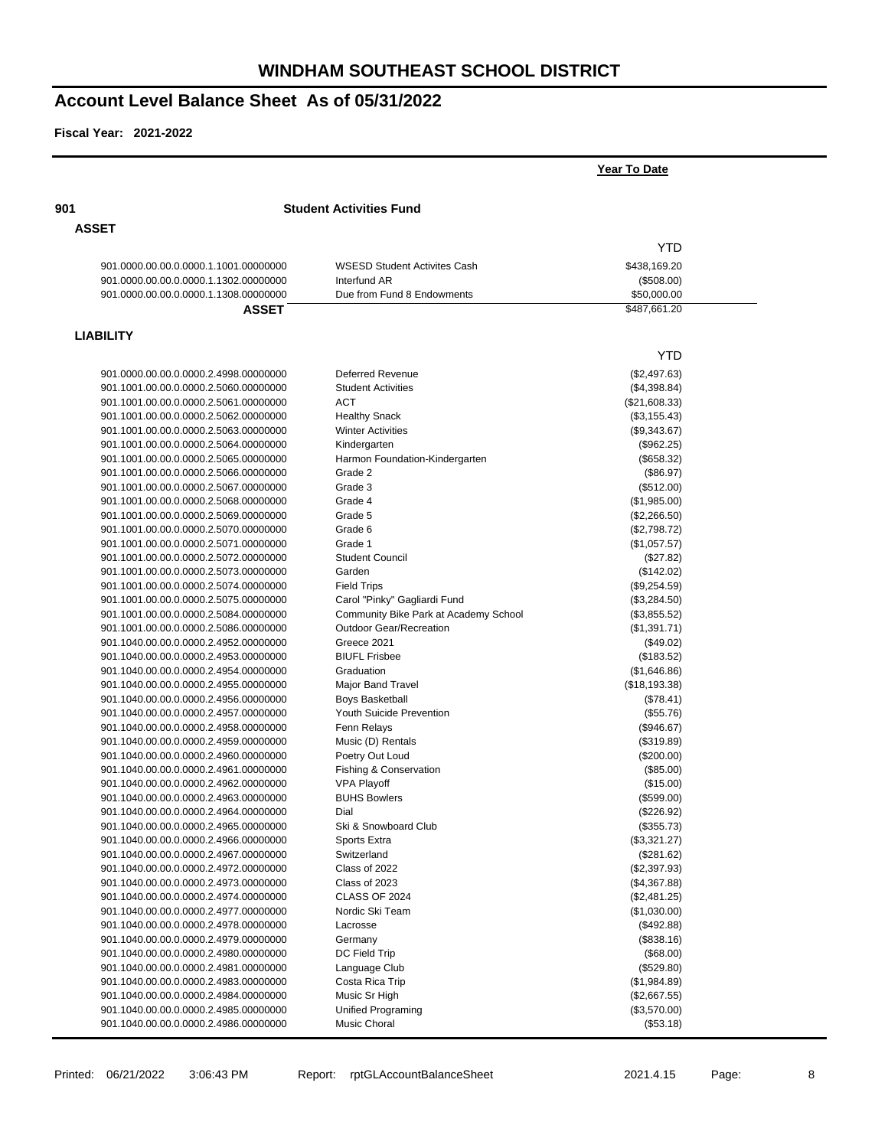|                                       |                                       | Year To Date  |  |
|---------------------------------------|---------------------------------------|---------------|--|
| 901                                   | <b>Student Activities Fund</b>        |               |  |
| <b>ASSET</b>                          |                                       |               |  |
|                                       |                                       | <b>YTD</b>    |  |
| 901.0000.00.00.0.0000.1.1001.00000000 | <b>WSESD Student Activites Cash</b>   | \$438,169.20  |  |
| 901.0000.00.00.0.0000.1.1302.00000000 | Interfund AR                          | (\$508.00)    |  |
| 901.0000.00.00.0.0000.1.1308.00000000 | Due from Fund 8 Endowments            | \$50,000.00   |  |
| <b>ASSET</b>                          |                                       | \$487,661.20  |  |
| <b>LIABILITY</b>                      |                                       |               |  |
|                                       |                                       | <b>YTD</b>    |  |
| 901.0000.00.00.0.0000.2.4998.00000000 | <b>Deferred Revenue</b>               | (\$2,497.63)  |  |
| 901.1001.00.00.0.0000.2.5060.00000000 | <b>Student Activities</b>             | (\$4,398.84)  |  |
| 901.1001.00.00.0.0000.2.5061.00000000 | ACT                                   | (\$21,608.33) |  |
| 901.1001.00.00.0.0000.2.5062.00000000 | <b>Healthy Snack</b>                  | (\$3,155.43)  |  |
| 901.1001.00.00.0.0000.2.5063.00000000 | <b>Winter Activities</b>              | (\$9,343.67)  |  |
| 901.1001.00.00.0.0000.2.5064.00000000 | Kindergarten                          | (\$962.25)    |  |
| 901.1001.00.00.0.0000.2.5065.00000000 | Harmon Foundation-Kindergarten        | (\$658.32)    |  |
| 901.1001.00.00.0.0000.2.5066.00000000 | Grade 2                               | (\$86.97)     |  |
| 901.1001.00.00.0.0000.2.5067.00000000 | Grade 3                               | (\$512.00)    |  |
| 901.1001.00.00.0.0000.2.5068.00000000 | Grade 4                               | (\$1,985.00)  |  |
| 901.1001.00.00.0.0000.2.5069.00000000 | Grade 5                               | (\$2,266.50)  |  |
| 901.1001.00.00.0.0000.2.5070.00000000 | Grade 6                               | (\$2,798.72)  |  |
| 901.1001.00.00.0.0000.2.5071.00000000 | Grade 1                               | (\$1,057.57)  |  |
| 901.1001.00.00.0.0000.2.5072.00000000 | <b>Student Council</b>                | (\$27.82)     |  |
| 901.1001.00.00.0.0000.2.5073.00000000 | Garden                                | (\$142.02)    |  |
| 901.1001.00.00.0.0000.2.5074.00000000 | <b>Field Trips</b>                    | (\$9,254.59)  |  |
| 901.1001.00.00.0.0000.2.5075.00000000 | Carol "Pinky" Gagliardi Fund          | (\$3,284.50)  |  |
| 901.1001.00.00.0.0000.2.5084.00000000 |                                       |               |  |
|                                       | Community Bike Park at Academy School | (\$3,855.52)  |  |
| 901.1001.00.00.0.0000.2.5086.00000000 | <b>Outdoor Gear/Recreation</b>        | (\$1,391.71)  |  |
| 901.1040.00.00.0.0000.2.4952.00000000 | Greece 2021                           | (\$49.02)     |  |
| 901.1040.00.00.0.0000.2.4953.00000000 | <b>BIUFL Frisbee</b>                  | (\$183.52)    |  |
| 901.1040.00.00.0.0000.2.4954.00000000 | Graduation                            | (\$1,646.86)  |  |
| 901.1040.00.00.0.0000.2.4955.00000000 | Major Band Travel                     | (\$18,193.38) |  |
| 901.1040.00.00.0.0000.2.4956.00000000 | <b>Boys Basketball</b>                | (\$78.41)     |  |
| 901.1040.00.00.0.0000.2.4957.00000000 | Youth Suicide Prevention              | (\$55.76)     |  |
| 901.1040.00.00.0.0000.2.4958.00000000 | Fenn Relays                           | (\$946.67)    |  |
| 901.1040.00.00.0.0000.2.4959.00000000 | Music (D) Rentals                     | (\$319.89)    |  |
| 901.1040.00.00.0.0000.2.4960.00000000 | Poetry Out Loud                       | $(\$200.00)$  |  |
| 901.1040.00.00.0.0000.2.4961.00000000 | Fishing & Conservation                | (\$85.00)     |  |
| 901.1040.00.00.0.0000.2.4962.00000000 | <b>VPA Playoff</b>                    | (\$15.00)     |  |
| 901.1040.00.00.0.0000.2.4963.00000000 | <b>BUHS Bowlers</b>                   | (\$599.00)    |  |
| 901.1040.00.00.0.0000.2.4964.00000000 | Dial                                  | (\$226.92)    |  |
| 901.1040.00.00.0.0000.2.4965.00000000 | Ski & Snowboard Club                  | (\$355.73)    |  |
| 901.1040.00.00.0.0000.2.4966.00000000 | Sports Extra                          | (\$3,321.27)  |  |
| 901.1040.00.00.0.0000.2.4967.00000000 | Switzerland                           | (\$281.62)    |  |
| 901.1040.00.00.0.0000.2.4972.00000000 | Class of 2022                         | (\$2,397.93)  |  |
| 901.1040.00.00.0.0000.2.4973.00000000 | Class of 2023                         | (\$4,367.88)  |  |
| 901.1040.00.00.0.0000.2.4974.00000000 | CLASS OF 2024                         | (\$2,481.25)  |  |
| 901.1040.00.00.0.0000.2.4977.00000000 | Nordic Ski Team                       | (\$1,030.00)  |  |
| 901.1040.00.00.0.0000.2.4978.00000000 | Lacrosse                              | (\$492.88)    |  |
| 901.1040.00.00.0.0000.2.4979.00000000 | Germany                               | (\$838.16)    |  |
| 901.1040.00.00.0.0000.2.4980.00000000 | DC Field Trip                         | (\$68.00)     |  |
| 901.1040.00.00.0.0000.2.4981.00000000 | Language Club                         | (\$529.80)    |  |
| 901.1040.00.00.0.0000.2.4983.00000000 | Costa Rica Trip                       | (\$1,984.89)  |  |
| 901.1040.00.00.0.0000.2.4984.00000000 | Music Sr High                         | (\$2,667.55)  |  |
| 901.1040.00.00.0.0000.2.4985.00000000 | Unified Programing                    |               |  |
|                                       |                                       | (\$3,570.00)  |  |
| 901.1040.00.00.0.0000.2.4986.00000000 | Music Choral                          | (\$53.18)     |  |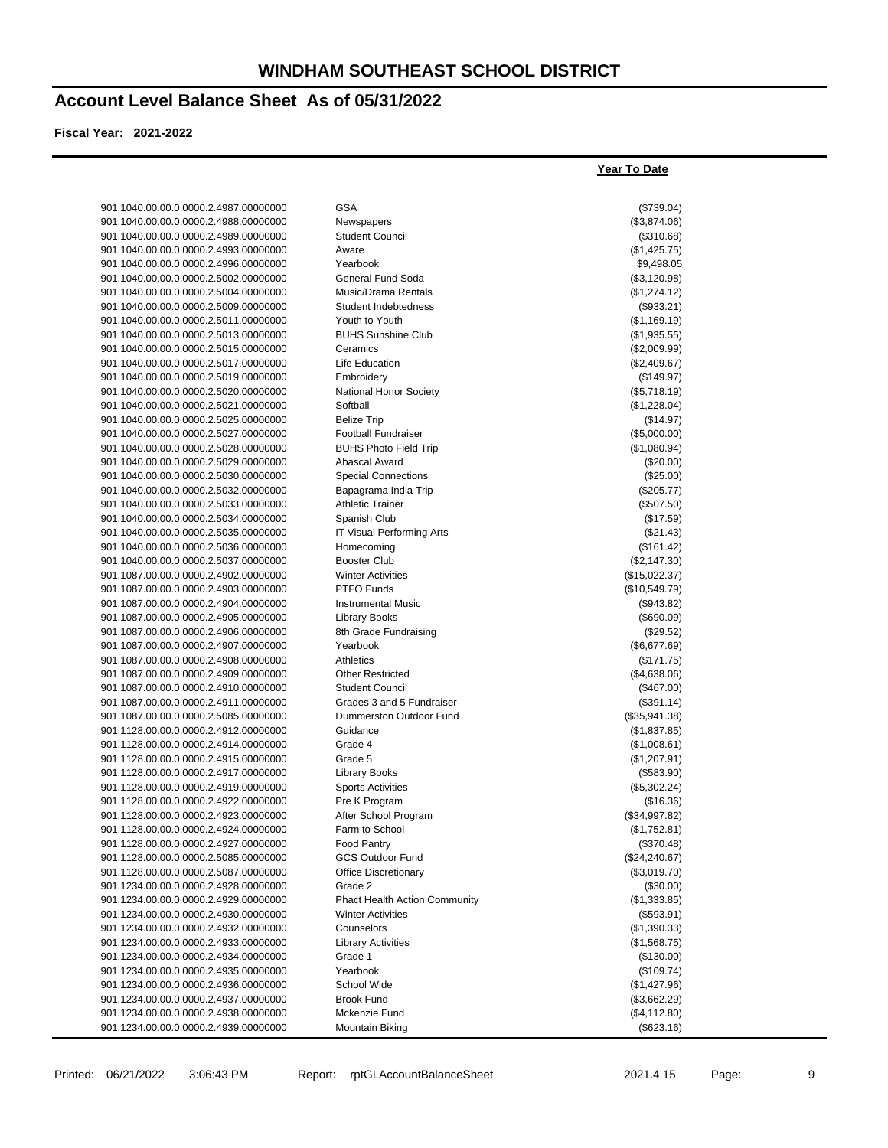**Year To Date**

### **Account Level Balance Sheet As of 05/31/2022**

| 901.1040.00.00.0.0000.2.4987.00000000                                          | <b>GSA</b>                                    | (\$739.04)                     |
|--------------------------------------------------------------------------------|-----------------------------------------------|--------------------------------|
| 901.1040.00.00.0.0000.2.4988.00000000                                          | Newspapers                                    | (\$3,874.06)                   |
| 901.1040.00.00.0.0000.2.4989.00000000                                          | <b>Student Council</b>                        | (\$310.68)                     |
| 901.1040.00.00.0.0000.2.4993.00000000                                          | Aware                                         | (\$1,425.75)                   |
| 901.1040.00.00.0.0000.2.4996.00000000                                          | Yearbook                                      | \$9,498.05                     |
| 901.1040.00.00.0.0000.2.5002.00000000                                          | General Fund Soda                             | (\$3,120.98)                   |
| 901.1040.00.00.0.0000.2.5004.00000000                                          | Music/Drama Rentals                           | (\$1,274.12)                   |
| 901.1040.00.00.0.0000.2.5009.00000000                                          | Student Indebtedness                          | (\$933.21)                     |
| 901.1040.00.00.0.0000.2.5011.00000000                                          | Youth to Youth                                | (\$1,169.19)                   |
| 901.1040.00.00.0.0000.2.5013.00000000                                          | <b>BUHS Sunshine Club</b>                     | (\$1,935.55)                   |
| 901.1040.00.00.0.0000.2.5015.00000000                                          | Ceramics                                      | (\$2,009.99)                   |
| 901.1040.00.00.0.0000.2.5017.00000000                                          | Life Education                                | (\$2,409.67)                   |
| 901.1040.00.00.0.0000.2.5019.00000000                                          | Embroidery                                    | (\$149.97)                     |
| 901.1040.00.00.0.0000.2.5020.00000000                                          | National Honor Society                        | (\$5,718.19)                   |
| 901.1040.00.00.0.0000.2.5021.00000000                                          | Softball                                      | (\$1,228.04)                   |
| 901.1040.00.00.0.0000.2.5025.00000000                                          | <b>Belize Trip</b>                            | (\$14.97)                      |
| 901.1040.00.00.0.0000.2.5027.00000000                                          | <b>Football Fundraiser</b>                    | (\$5,000.00)                   |
| 901.1040.00.00.0.0000.2.5028.00000000                                          | <b>BUHS Photo Field Trip</b>                  | (\$1,080.94)                   |
| 901.1040.00.00.0.0000.2.5029.00000000                                          | Abascal Award                                 | $(\$20.00)$                    |
| 901.1040.00.00.0.0000.2.5030.00000000                                          | <b>Special Connections</b>                    | (\$25.00)                      |
| 901.1040.00.00.0.0000.2.5032.00000000                                          | Bapagrama India Trip                          | (\$205.77)                     |
| 901.1040.00.00.0.0000.2.5033.00000000                                          | <b>Athletic Trainer</b>                       | (\$507.50)                     |
| 901.1040.00.00.0.0000.2.5034.00000000                                          | Spanish Club                                  | (\$17.59)                      |
| 901.1040.00.00.0.0000.2.5035.00000000                                          | IT Visual Performing Arts                     | (\$21.43)                      |
| 901.1040.00.00.0.0000.2.5036.00000000                                          | Homecoming                                    | (\$161.42)                     |
| 901.1040.00.00.0.0000.2.5037.00000000                                          | <b>Booster Club</b>                           | (\$2,147.30)                   |
| 901.1087.00.00.0.0000.2.4902.00000000                                          | <b>Winter Activities</b>                      | (\$15,022.37)                  |
| 901.1087.00.00.0.0000.2.4903.00000000                                          | <b>PTFO Funds</b>                             | (\$10,549.79)                  |
| 901.1087.00.00.0.0000.2.4904.00000000                                          | <b>Instrumental Music</b>                     | (\$943.82)                     |
| 901.1087.00.00.0.0000.2.4905.00000000                                          | <b>Library Books</b>                          | (\$690.09)                     |
| 901.1087.00.00.0.0000.2.4906.00000000                                          | 8th Grade Fundraising                         | (\$29.52)                      |
| 901.1087.00.00.0.0000.2.4907.00000000                                          | Yearbook                                      | (\$6,677.69)                   |
| 901.1087.00.00.0.0000.2.4908.00000000                                          | Athletics                                     | (\$171.75)                     |
| 901.1087.00.00.0.0000.2.4909.00000000                                          | <b>Other Restricted</b>                       | (\$4,638.06)                   |
| 901.1087.00.00.0.0000.2.4910.00000000                                          | <b>Student Council</b>                        | (\$467.00)                     |
| 901.1087.00.00.0.0000.2.4911.00000000                                          | Grades 3 and 5 Fundraiser                     | (\$391.14)                     |
| 901.1087.00.00.0.0000.2.5085.00000000                                          | Dummerston Outdoor Fund                       | (\$35,941.38)                  |
| 901.1128.00.00.0.0000.2.4912.00000000                                          | Guidance                                      | (\$1,837.85)                   |
| 901.1128.00.00.0.0000.2.4914.00000000                                          | Grade 4                                       | (\$1,008.61)                   |
| 901.1128.00.00.0.0000.2.4915.00000000                                          | Grade 5                                       | (\$1,207.91)                   |
| 901.1128.00.00.0.0000.2.4917.00000000                                          | Library Books                                 | (\$583.90)                     |
| 901.1128.00.00.0.0000.2.4919.00000000<br>901.1128.00.00.0.0000.2.4922.00000000 | <b>Sports Activities</b>                      | (\$5,302.24)                   |
|                                                                                | Pre K Program                                 | (\$16.36)                      |
| 901.1128.00.00.0.0000.2.4923.00000000                                          | After School Program                          | (\$34,997.82)                  |
| 901.1128.00.00.0.0000.2.4924.00000000                                          | Farm to School                                | (\$1,752.81)                   |
| 901.1128.00.00.0.0000.2.4927.00000000<br>901.1128.00.00.0.0000.2.5085.00000000 | <b>Food Pantry</b><br><b>GCS Outdoor Fund</b> | (\$370.48)                     |
| 901.1128.00.00.0.0000.2.5087.00000000                                          | <b>Office Discretionary</b>                   | (\$24, 240.67)<br>(\$3,019.70) |
| 901.1234.00.00.0.0000.2.4928.00000000                                          | Grade 2                                       | (\$30.00)                      |
| 901.1234.00.00.0.0000.2.4929.00000000                                          | <b>Phact Health Action Community</b>          | (\$1,333.85)                   |
| 901.1234.00.00.0.0000.2.4930.00000000                                          | <b>Winter Activities</b>                      |                                |
| 901.1234.00.00.0.0000.2.4932.00000000                                          | Counselors                                    | (\$593.91)<br>(\$1,390.33)     |
| 901.1234.00.00.0.0000.2.4933.00000000                                          | <b>Library Activities</b>                     | (\$1,568.75)                   |
| 901.1234.00.00.0.0000.2.4934.00000000                                          | Grade 1                                       | (\$130.00)                     |
| 901.1234.00.00.0.0000.2.4935.00000000                                          | Yearbook                                      | (\$109.74)                     |
| 901.1234.00.00.0.0000.2.4936.00000000                                          | School Wide                                   | (\$1,427.96)                   |
| 901.1234.00.00.0.0000.2.4937.00000000                                          | <b>Brook Fund</b>                             | (\$3,662.29)                   |
| 901.1234.00.00.0.0000.2.4938.00000000                                          | Mckenzie Fund                                 | (\$4,112.80)                   |
| 901.1234.00.00.0.0000.2.4939.00000000                                          | Mountain Biking                               | (\$623.16)                     |
|                                                                                |                                               |                                |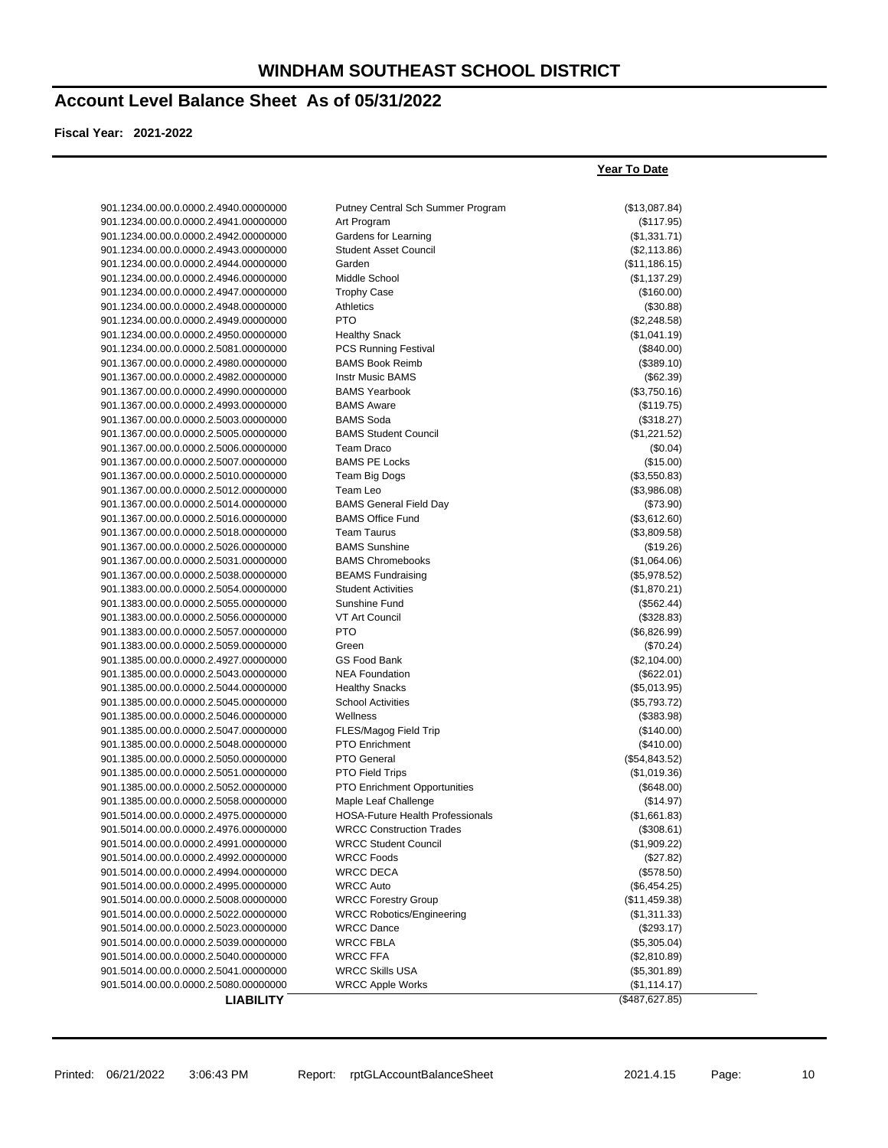**Year To Date**

#### **Account Level Balance Sheet As of 05/31/2022**

| 901.1234.00.00.0.0000.2.4940.00000000 | Putney Central Sch Summer Program       | (\$13,087.84)  |
|---------------------------------------|-----------------------------------------|----------------|
| 901.1234.00.00.0.0000.2.4941.00000000 | Art Program                             | (\$117.95)     |
| 901.1234.00.00.0.0000.2.4942.00000000 | Gardens for Learning                    | (\$1,331.71)   |
| 901.1234.00.00.0.0000.2.4943.00000000 | <b>Student Asset Council</b>            | (\$2,113.86)   |
| 901.1234.00.00.0.0000.2.4944.00000000 | Garden                                  | (\$11,186.15)  |
| 901.1234.00.00.0.0000.2.4946.00000000 | Middle School                           | (\$1,137.29)   |
| 901.1234.00.00.0.0000.2.4947.00000000 | <b>Trophy Case</b>                      | (\$160.00)     |
| 901.1234.00.00.0.0000.2.4948.00000000 | Athletics                               | (\$30.88)      |
| 901.1234.00.00.0.0000.2.4949.00000000 | <b>PTO</b>                              | (\$2,248.58)   |
| 901.1234.00.00.0.0000.2.4950.00000000 | <b>Healthy Snack</b>                    | (\$1,041.19)   |
| 901.1234.00.00.0.0000.2.5081.00000000 | <b>PCS Running Festival</b>             | (\$840.00)     |
| 901.1367.00.00.0.0000.2.4980.00000000 | <b>BAMS Book Reimb</b>                  | (\$389.10)     |
| 901.1367.00.00.0.0000.2.4982.00000000 | <b>Instr Music BAMS</b>                 | (\$62.39)      |
| 901.1367.00.00.0.0000.2.4990.00000000 | <b>BAMS Yearbook</b>                    | (\$3,750.16)   |
| 901.1367.00.00.0.0000.2.4993.00000000 | <b>BAMS Aware</b>                       | (\$119.75)     |
| 901.1367.00.00.0.0000.2.5003.00000000 | <b>BAMS Soda</b>                        | (\$318.27)     |
| 901.1367.00.00.0.0000.2.5005.00000000 | <b>BAMS Student Council</b>             | (\$1,221.52)   |
| 901.1367.00.00.0.0000.2.5006.00000000 | <b>Team Draco</b>                       | (\$0.04)       |
| 901.1367.00.00.0.0000.2.5007.00000000 | <b>BAMS PE Locks</b>                    | (\$15.00)      |
| 901.1367.00.00.0.0000.2.5010.00000000 | Team Big Dogs                           | (\$3,550.83)   |
| 901.1367.00.00.0.0000.2.5012.00000000 | Team Leo                                | (\$3,986.08)   |
| 901.1367.00.00.0.0000.2.5014.00000000 | <b>BAMS General Field Day</b>           | (\$73.90)      |
| 901.1367.00.00.0.0000.2.5016.00000000 | <b>BAMS Office Fund</b>                 | (\$3,612.60)   |
| 901.1367.00.00.0.0000.2.5018.00000000 | <b>Team Taurus</b>                      | (\$3,809.58)   |
| 901.1367.00.00.0.0000.2.5026.00000000 | <b>BAMS Sunshine</b>                    | (\$19.26)      |
| 901.1367.00.00.0.0000.2.5031.00000000 | <b>BAMS Chromebooks</b>                 | (\$1,064.06)   |
| 901.1367.00.00.0.0000.2.5038.00000000 | <b>BEAMS Fundraising</b>                | (\$5,978.52)   |
| 901.1383.00.00.0.0000.2.5054.00000000 | <b>Student Activities</b>               | (\$1,870.21)   |
| 901.1383.00.00.0.0000.2.5055.00000000 | Sunshine Fund                           | (\$562.44)     |
| 901.1383.00.00.0.0000.2.5056.00000000 | VT Art Council                          | (\$328.83)     |
| 901.1383.00.00.0.0000.2.5057.00000000 | <b>PTO</b>                              | (\$6,826.99)   |
| 901.1383.00.00.0.0000.2.5059.00000000 | Green                                   | (\$70.24)      |
| 901.1385.00.00.0.0000.2.4927.00000000 | GS Food Bank                            | (\$2,104.00)   |
| 901.1385.00.00.0.0000.2.5043.00000000 | <b>NEA Foundation</b>                   | (\$622.01)     |
| 901.1385.00.00.0.0000.2.5044.00000000 | <b>Healthy Snacks</b>                   | (\$5,013.95)   |
| 901.1385.00.00.0.0000.2.5045.00000000 | <b>School Activities</b>                | (\$5,793.72)   |
| 901.1385.00.00.0.0000.2.5046.00000000 | Wellness                                | (\$383.98)     |
| 901.1385.00.00.0.0000.2.5047.00000000 | FLES/Magog Field Trip                   | (\$140.00)     |
| 901.1385.00.00.0.0000.2.5048.00000000 | <b>PTO Enrichment</b>                   | $(\$410.00)$   |
| 901.1385.00.00.0.0000.2.5050.00000000 | PTO General                             | (\$54,843.52)  |
| 901.1385.00.00.0.0000.2.5051.00000000 | PTO Field Trips                         | (\$1,019.36)   |
| 901.1385.00.00.0.0000.2.5052.00000000 | <b>PTO Enrichment Opportunities</b>     | (\$648.00)     |
| 901.1385.00.00.0.0000.2.5058.00000000 | Maple Leaf Challenge                    | (\$14.97)      |
| 901.5014.00.00.0.0000.2.4975.00000000 | <b>HOSA-Future Health Professionals</b> | (\$1,661.83)   |
| 901.5014.00.00.0.0000.2.4976.00000000 | <b>WRCC Construction Trades</b>         | (\$308.61)     |
| 901.5014.00.00.0.0000.2.4991.00000000 | <b>WRCC Student Council</b>             | (\$1,909.22)   |
| 901.5014.00.00.0.0000.2.4992.00000000 | <b>WRCC Foods</b>                       | (\$27.82)      |
| 901.5014.00.00.0.0000.2.4994.00000000 | <b>WRCC DECA</b>                        | (\$578.50)     |
| 901.5014.00.00.0.0000.2.4995.00000000 | <b>WRCC Auto</b>                        | (\$6,454.25)   |
| 901.5014.00.00.0.0000.2.5008.00000000 | <b>WRCC Forestry Group</b>              | (\$11,459.38)  |
| 901.5014.00.00.0.0000.2.5022.00000000 | <b>WRCC Robotics/Engineering</b>        | (\$1,311.33)   |
| 901.5014.00.00.0.0000.2.5023.00000000 | <b>WRCC Dance</b>                       | (\$293.17)     |
| 901.5014.00.00.0.0000.2.5039.00000000 | <b>WRCC FBLA</b>                        | (\$5,305.04)   |
| 901.5014.00.00.0.0000.2.5040.00000000 | <b>WRCC FFA</b>                         | (\$2,810.89)   |
| 901.5014.00.00.0.0000.2.5041.00000000 | <b>WRCC Skills USA</b>                  | (\$5,301.89)   |
| 901.5014.00.00.0.0000.2.5080.00000000 | <b>WRCC Apple Works</b>                 | (\$1,114.17)   |
| <b>LIABILITY</b>                      |                                         | (\$487,627.85) |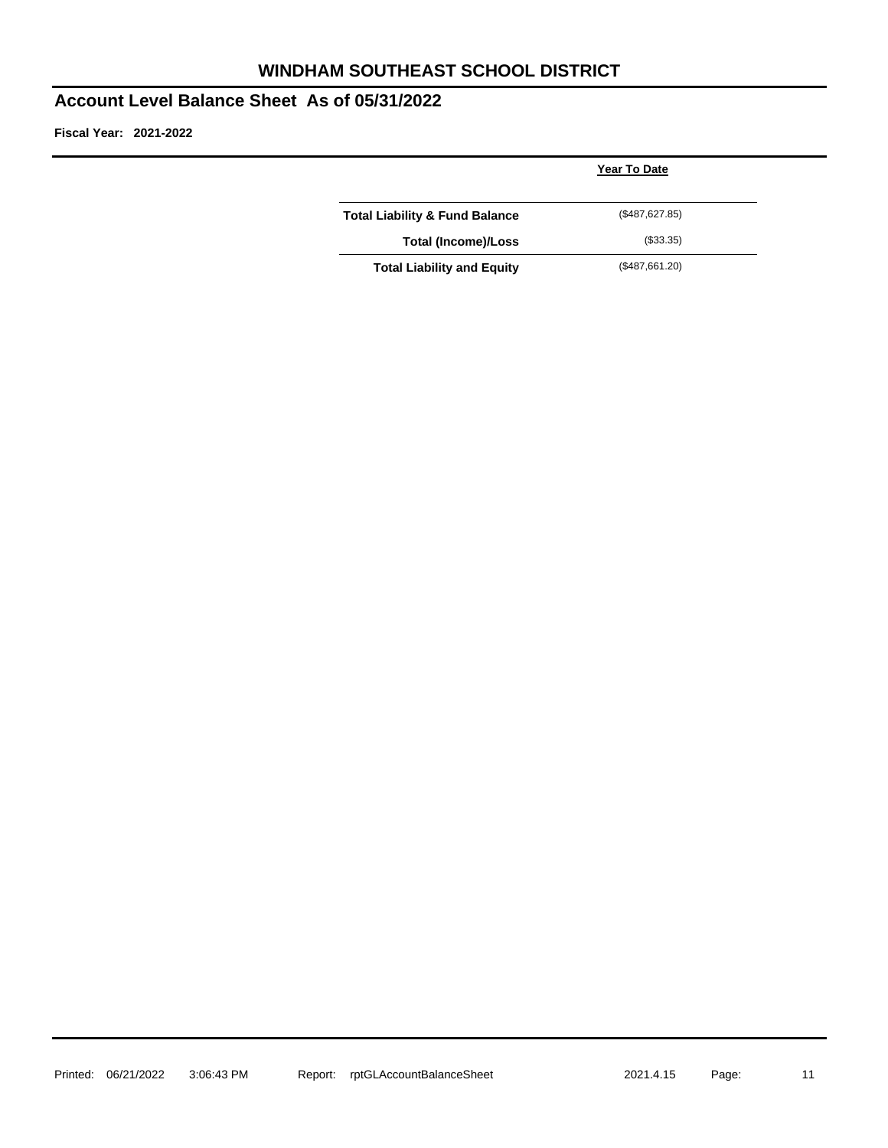## **WINDHAM SOUTHEAST SCHOOL DISTRICT**

#### **Account Level Balance Sheet As of 05/31/2022**

|                                           | <b>Year To Date</b> |  |
|-------------------------------------------|---------------------|--|
| <b>Total Liability &amp; Fund Balance</b> | (\$487,627.85)      |  |
| <b>Total (Income)/Loss</b>                | (\$33.35)           |  |
| <b>Total Liability and Equity</b>         | (\$487,661.20)      |  |